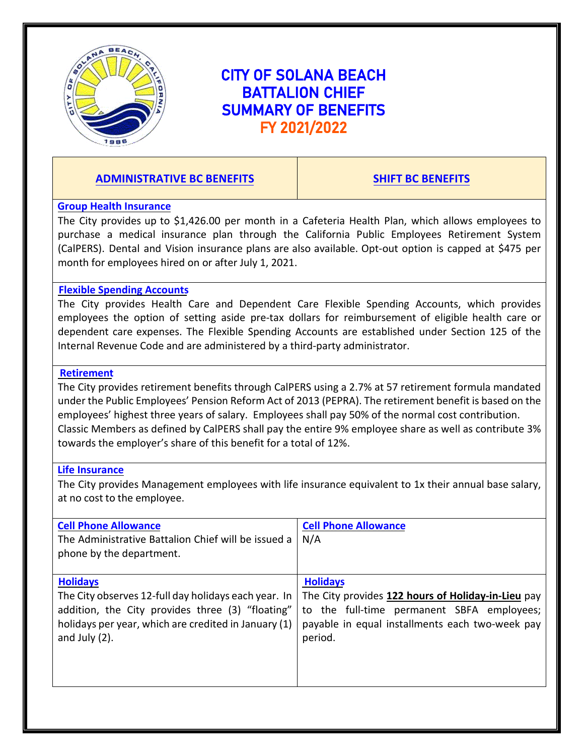

# CITY OF SOLANA BEACH BATTALION CHIEF SUMMARY OF BENEFITS FY 2021/2022

# **ADMINISTRATIVE BC BENEFITS SHIFT BC BENEFITS**

#### **Group Health Insurance**

The City provides up to \$1,426.00 per month in a Cafeteria Health Plan, which allows employees to purchase a medical insurance plan through the California Public Employees Retirement System (CalPERS). Dental and Vision insurance plans are also available. Opt-out option is capped at \$475 per month for employees hired on or after July 1, 2021.

#### **Flexible Spending Accounts**

The City provides Health Care and Dependent Care Flexible Spending Accounts, which provides employees the option of setting aside pre-tax dollars for reimbursement of eligible health care or dependent care expenses. The Flexible Spending Accounts are established under Section 125 of the Internal Revenue Code and are administered by a third-party administrator.

### **Retirement**

The City provides retirement benefits through CalPERS using a 2.7% at 57 retirement formula mandated under the Public Employees' Pension Reform Act of 2013 (PEPRA). The retirement benefit is based on the employees' highest three years of salary. Employees shall pay 50% of the normal cost contribution. Classic Members as defined by CalPERS shall pay the entire 9% employee share as well as contribute 3% towards the employer's share of this benefit for a total of 12%.

#### **Life Insurance**

The City provides Management employees with life insurance equivalent to 1x their annual base salary, at no cost to the employee.

| <b>Cell Phone Allowance</b><br>The Administrative Battalion Chief will be issued a<br>phone by the department. | <b>Cell Phone Allowance</b><br>N/A                 |
|----------------------------------------------------------------------------------------------------------------|----------------------------------------------------|
| <b>Holidays</b>                                                                                                | <b>Holidays</b>                                    |
| The City observes 12-full day holidays each year. In                                                           | The City provides 122 hours of Holiday-in-Lieu pay |
| addition, the City provides three (3) "floating"                                                               | to the full-time permanent SBFA employees;         |
| holidays per year, which are credited in January (1)                                                           | payable in equal installments each two-week pay    |
| and July $(2)$ .                                                                                               | period.                                            |